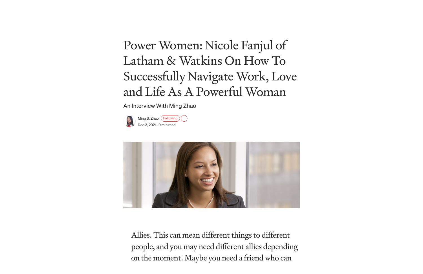Ming S. [Zhao](https://medium.com/@mingszhao36?source=post_page-----66ddf5e8917d-----------------------------------) (Following) Dec 3, [2021](https://medium.com/authority-magazine/power-women-nicole-fanjul-of-latham-watkins-on-how-to-successfully-navigate-work-love-and-life-66ddf5e8917d?source=post_page-----66ddf5e8917d-----------------------------------) · 9 min read



# Power Women: Nicole Fanjul of Latham & Watkins On How To Successfully Navigate Work, Love and Life As A Powerful Woman

An Interview With Ming Zhao

Allies. This can mean different things to different people, and you may need different allies depending on the moment. Maybe you need a friend who can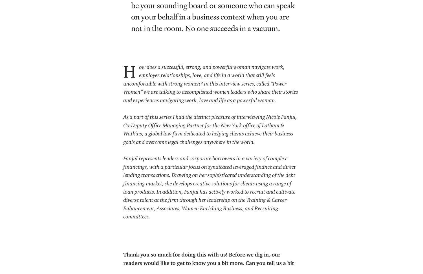*As a part of this series I had the distinct pleasure of interviewing Nicole [Fanjul](https://www.lw.com/people/NicoleDFanjul), Co-Deputy Office Managing Partner for the New York office of Latham & Watkins, a global law firm dedicated to helping clients achieve their business goals and overcome legal challenges anywhere in the world.*

be your sounding board or someone who can speak on your behalf in a business context when you are not in the room. No one succeeds in a vacuum.

*ow does a successful, strong, and powerful woman navigate work, employee relationships, love, and life in a world that still feels uncomfortable with strong women? In this interview series, called "Power Women" we are talking to accomplished women leaders who share their stories and experiences navigating work, love and life as a powerful woman.* H

*Fanjul represents lenders and corporate borrowers in a variety of complex financings, with a particular focus on syndicated leveraged finance and direct lending transactions. Drawing on her sophisticated understanding of the debt financing market, she develops creative solutions for clients using a range of loan products. In addition, Fanjul has actively worked to recruit and cultivate diverse talent at the firm through her leadership on the Training & Career Enhancement, Associates, Women Enriching Business, and Recruiting committees.*

Thank you so much for doing this with us! Before we dig in, our readers would like to get to know you a bit more. Can you tell us a bit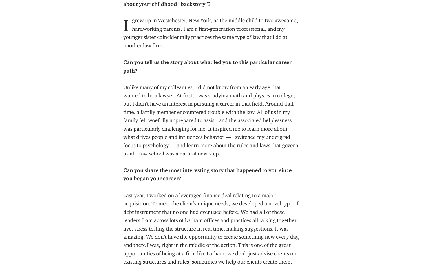#### about your childhood "backstory"?

# Can you tell us the story about what led you to this particular career path?

Unlike many of my colleagues, I did not know from an early age that I wanted to be a lawyer. At first, I was studying math and physics in college, but I didn't have an interest in pursuing a career in that field. Around that time, a family member encountered trouble with the law. All of us in my family felt woefully unprepared to assist, and the associated helplessness was particularly challenging for me. It inspired me to learn more about what drives people and influences behavior — I switched my undergrad focus to psychology — and learn more about the rules and laws that govern us all. Law school was a natural next step.

grew up in Westchester, New York, as the middle child to two awesome, hardworking parents. I am a first-generation professional, and my younger sister coincidentally practices the same type of law that I do at another law firm. I

# Can you share the most interesting story that happened to you since you began your career?

Last year, I worked on a leveraged finance deal relating to a major acquisition. To meet the client's unique needs, we developed a novel type of debt instrument that no one had ever used before. We had all of these leaders from across lots of Latham offices and practices all talking together live, stress-testing the structure in real time, making suggestions. It was amazing. We don't have the opportunity to create something new every day, and there I was, right in the middle of the action. This is one of the great opportunities of being at a firm like Latham: we don't just advise clients on existing structures and rules; sometimes we help our clients create them.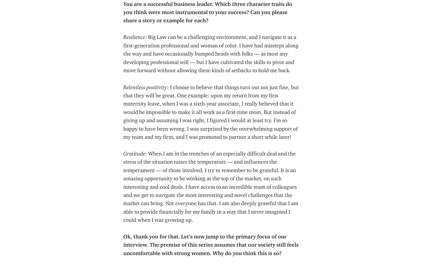You are a successful business leader. Which three character traits do you think were most instrumental to your success? Can you please share a story or example for each?

*Resilience*: Big Law can be a challenging environment, and I navigate it as a first-generation professional and woman of color. I have had missteps along the way and have occasionally bumped heads with folks — as most any developing professional will — but I have cultivated the skills to pivot and move forward without allowing these kinds of setbacks to hold me back.

*Relentless positivity*: I choose to believe that things turn out not just fine, but that they will be great. One example: upon my return from my first maternity leave, when I was a sixth-year associate, I really believed that it would be impossible to make it all work as a first-time mom. But instead of giving up and assuming I was right, I figured I would at least try. I'm so happy to have been wrong. I was surprised by the overwhelming support of my team and my firm, and I was promoted to partner a short while later!

*Gratitude*: When I am in the trenches of an especially difficult deal and the stress of the situation raises the temperature — and influences the temperament — of those involved, I try to remember to be grateful. It is an amazing opportunity to be working at the top of the market, on such interesting and cool deals. I have access to an incredible team of colleagues and we get to navigate the most interesting and novel challenges that the market can bring. Not everyone has that. I am also deeply grateful that I am able to provide financially for my family in a way that I never imagined I could when I was growing up.

Ok, thank you for that. Let's now jump to the primary focus of our interview. The premise of this series assumes that our society still feels uncomfortable with strong women. Why do you think this is so?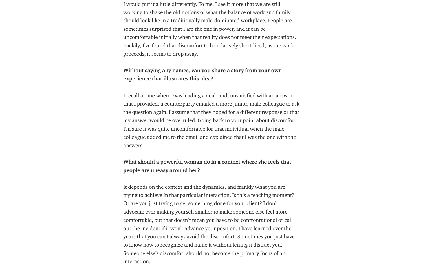I would put it a little differently. To me, I see it more that we are still working to shake the old notions of what the balance of work and family should look like in a traditionally male-dominated workplace. People are sometimes surprised that I am the one in power, and it can be uncomfortable initially when that reality does not meet their expectations. Luckily, I've found that discomfort to be relatively short-lived; as the work proceeds, it seems to drop away.

### Without saying any names, can you share a story from your own experience that illustrates this idea?

I recall a time when I was leading a deal, and, unsatisfied with an answer that I provided, a counterparty emailed a more junior, male colleague to ask the question again. I assume that they hoped for a different response or that my answer would be overruled. Going back to your point about discomfort: I'm sure it was quite uncomfortable for that individual when the male colleague added me to the email and explained that I was the one with the answers.

# What should a powerful woman do in a context where she feels that people are uneasy around her?

It depends on the context and the dynamics, and frankly what you are trying to achieve in that particular interaction. Is this a teaching moment? Or are you just trying to get something done for your client? I don't advocate ever making yourself smaller to make someone else feel more comfortable, but that doesn't mean you have to be confrontational or call out the incident if it won't advance your position. I have learned over the years that you can't always avoid the discomfort. Sometimes you just have to know how to recognize and name it without letting it distract you. Someone else's discomfort should not become the primary focus of an interaction.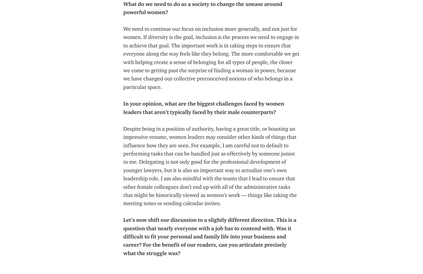# What do we need to do as a society to change the unease around powerful women?

We need to continue our focus on inclusion more generally, and not just for women. If diversity is the goal, inclusion is the process we need to engage in to achieve that goal. The important work is in taking steps to ensure that everyone along the way feels like they belong. The more comfortable we get with helping create a sense of belonging for all types of people, the closer we come to getting past the surprise of finding a woman in power, because we have changed our collective preconceived notions of who belongs in a particular space.

### In your opinion, what are the biggest challenges faced by women leaders that aren't typically faced by their male counterparts?

Despite being in a position of authority, having a great title, or boasting an impressive resume, women leaders may consider other kinds of things that influence how they are seen. For example, I am careful not to default to performing tasks that can be handled just as effectively by someone junior to me. Delegating is not only good for the professional development of younger lawyers, but it is also an important way to actualize one's own leadership role. I am also mindful with the teams that I lead to ensure that other female colleagues don't end up with all of the administrative tasks that might be historically viewed as women's work — things like taking the meeting notes or sending calendar invites.

Let's now shift our discussion to a slightly different direction. This is a question that nearly everyone with a job has to contend with. Was it difficult to fit your personal and family life into your business and career? For the benefit of our readers, can you articulate precisely what the struggle was?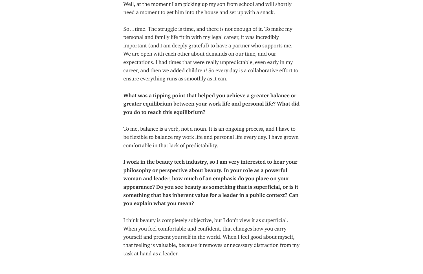Well, at the moment I am picking up my son from school and will shortly need a moment to get him into the house and set up with a snack.

So…time. The struggle is time, and there is not enough of it. To make my personal and family life fit in with my legal career, it was incredibly important (and I am deeply grateful) to have a partner who supports me. We are open with each other about demands on our time, and our expectations. I had times that were really unpredictable, even early in my career, and then we added children! So every day is a collaborative effort to ensure everything runs as smoothly as it can.

What was a tipping point that helped you achieve a greater balance or greater equilibrium between your work life and personal life? What did you do to reach this equilibrium?

To me, balance is a verb, not a noun. It is an ongoing process, and I have to be flexible to balance my work life and personal life every day. I have grown comfortable in that lack of predictability.

I work in the beauty tech industry, so I am very interested to hear your philosophy or perspective about beauty. In your role as a powerful woman and leader, how much of an emphasis do you place on your appearance? Do you see beauty as something that is superficial, or is it something that has inherent value for a leader in a public context? Can you explain what you mean?

I think beauty is completely subjective, but I don't view it as superficial. When you feel comfortable and confident, that changes how you carry yourself and present yourself in the world. When I feel good about myself, that feeling is valuable, because it removes unnecessary distraction from my task at hand as a leader.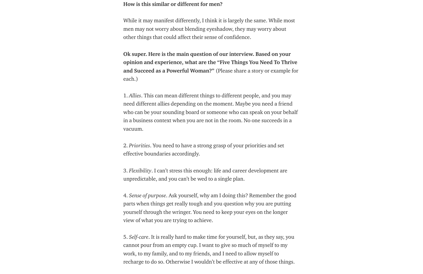#### How is this similar or different for men?

While it may manifest differently, I think it is largely the same. While most men may not worry about blending eyeshadow, they may worry about other things that could affect their sense of confidence.

Ok super. Here is the main question of our interview. Based on your opinion and experience, what are the "Five Things You Need To Thrive and Succeed as a Powerful Woman?" (Please share a story or example for each.)

1. *Allies*. This can mean different things to different people, and you may need different allies depending on the moment. Maybe you need a friend who can be your sounding board or someone who can speak on your behalf in a business context when you are not in the room. No one succeeds in a vacuum.

2. *Priorities*. You need to have a strong grasp of your priorities and set effective boundaries accordingly.

3. *Flexibility*. I can't stress this enough: life and career development are unpredictable, and you can't be wed to a single plan.

4. *Sense of purpose*. Ask yourself, why am I doing this? Remember the good parts when things get really tough and you question why you are putting yourself through the wringer. You need to keep your eyes on the longer view of what you are trying to achieve.

5. *Self-care*. It is really hard to make time for yourself, but, as they say, you cannot pour from an empty cup. I want to give so much of myself to my work, to my family, and to my friends, and I need to allow myself to recharge to do so. Otherwise I wouldn't be effective at any of those things.